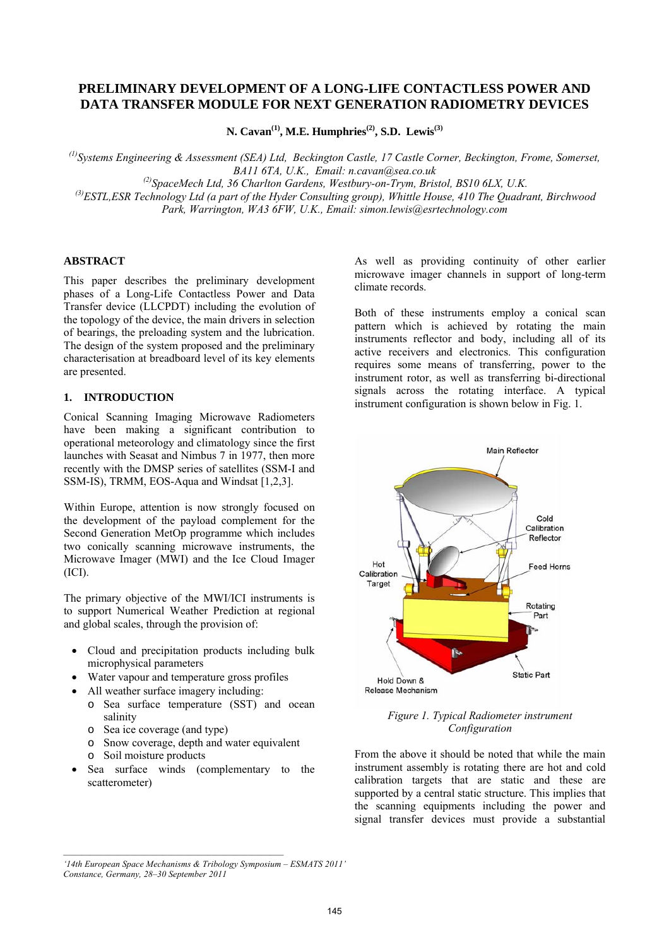# **PRELIMINARY DEVELOPMENT OF A LONG-LIFE CONTACTLESS POWER AND DATA TRANSFER MODULE FOR NEXT GENERATION RADIOMETRY DEVICES**

N. Cavan<sup>(1)</sup>, M.E. Humphries<sup>(2)</sup>, S.D. Lewis<sup>(3)</sup>

*(1)Systems Engineering & Assessment (SEA) Ltd, Beckington Castle, 17 Castle Corner, Beckington, Frome, Somerset, BA11 6TA, U.K., Email: n.cavan@sea.co.uk (2)SpaceMech Ltd, 36 Charlton Gardens, Westbury-on-Trym, Bristol, BS10 6LX, U.K. (3)ESTL,ESR Technology Ltd (a part of the Hyder Consulting group), Whittle House, 410 The Quadrant, Birchwood* 

*Park, Warrington, WA3 6FW, U.K., Email: simon.lewis@esrtechnology.com* 

## **ABSTRACT**

This paper describes the preliminary development phases of a Long-Life Contactless Power and Data Transfer device (LLCPDT) including the evolution of the topology of the device, the main drivers in selection of bearings, the preloading system and the lubrication. The design of the system proposed and the preliminary characterisation at breadboard level of its key elements are presented.

### **1. INTRODUCTION**

Conical Scanning Imaging Microwave Radiometers have been making a significant contribution to operational meteorology and climatology since the first launches with Seasat and Nimbus 7 in 1977, then more recently with the DMSP series of satellites (SSM-I and SSM-IS), TRMM, EOS-Aqua and Windsat [1,2,3].

Within Europe, attention is now strongly focused on the development of the payload complement for the Second Generation MetOp programme which includes two conically scanning microwave instruments, the Microwave Imager (MWI) and the Ice Cloud Imager (ICI).

The primary objective of the MWI/ICI instruments is to support Numerical Weather Prediction at regional and global scales, through the provision of:

- Cloud and precipitation products including bulk microphysical parameters
- Water vapour and temperature gross profiles
- All weather surface imagery including:
	- o Sea surface temperature (SST) and ocean salinity
	- o Sea ice coverage (and type)
	- o Snow coverage, depth and water equivalent
	- o Soil moisture products
- Sea surface winds (complementary to the scatterometer)

As well as providing continuity of other earlier microwave imager channels in support of long-term climate records.

Both of these instruments employ a conical scan pattern which is achieved by rotating the main instruments reflector and body, including all of its active receivers and electronics. This configuration requires some means of transferring, power to the instrument rotor, as well as transferring bi-directional signals across the rotating interface. A typical instrument configuration is shown below in Fig. 1.



*Figure 1. Typical Radiometer instrument Configuration* 

From the above it should be noted that while the main instrument assembly is rotating there are hot and cold calibration targets that are static and these are supported by a central static structure. This implies that the scanning equipments including the power and signal transfer devices must provide a substantial

*<sup>&#</sup>x27;14th European Space Mechanisms & Tribology Symposium – ESMATS 2011' Constance, Germany, 28–30 September 2011*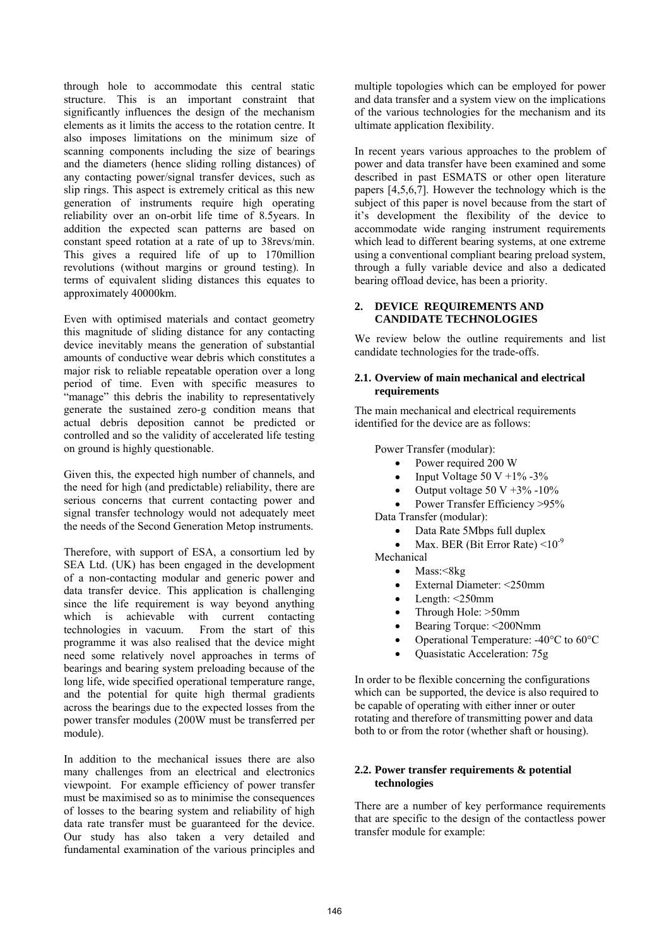through hole to accommodate this central static structure. This is an important constraint that significantly influences the design of the mechanism elements as it limits the access to the rotation centre. It also imposes limitations on the minimum size of scanning components including the size of bearings and the diameters (hence sliding rolling distances) of any contacting power/signal transfer devices, such as slip rings. This aspect is extremely critical as this new generation of instruments require high operating reliability over an on-orbit life time of 8.5years. In addition the expected scan patterns are based on constant speed rotation at a rate of up to 38revs/min. This gives a required life of up to 170million revolutions (without margins or ground testing). In terms of equivalent sliding distances this equates to approximately 40000km.

Even with optimised materials and contact geometry this magnitude of sliding distance for any contacting device inevitably means the generation of substantial amounts of conductive wear debris which constitutes a major risk to reliable repeatable operation over a long period of time. Even with specific measures to "manage" this debris the inability to representatively generate the sustained zero-g condition means that actual debris deposition cannot be predicted or controlled and so the validity of accelerated life testing on ground is highly questionable.

Given this, the expected high number of channels, and the need for high (and predictable) reliability, there are serious concerns that current contacting power and signal transfer technology would not adequately meet the needs of the Second Generation Metop instruments.

Therefore, with support of ESA, a consortium led by SEA Ltd. (UK) has been engaged in the development of a non-contacting modular and generic power and data transfer device. This application is challenging since the life requirement is way beyond anything which is achievable with current contacting technologies in vacuum. From the start of this programme it was also realised that the device might need some relatively novel approaches in terms of bearings and bearing system preloading because of the long life, wide specified operational temperature range, and the potential for quite high thermal gradients across the bearings due to the expected losses from the power transfer modules (200W must be transferred per module).

In addition to the mechanical issues there are also many challenges from an electrical and electronics viewpoint. For example efficiency of power transfer must be maximised so as to minimise the consequences of losses to the bearing system and reliability of high data rate transfer must be guaranteed for the device. Our study has also taken a very detailed and fundamental examination of the various principles and

multiple topologies which can be employed for power and data transfer and a system view on the implications of the various technologies for the mechanism and its ultimate application flexibility.

In recent years various approaches to the problem of power and data transfer have been examined and some described in past ESMATS or other open literature papers  $[4,5,6,7]$ . However the technology which is the subject of this paper is novel because from the start of it's development the flexibility of the device to accommodate wide ranging instrument requirements which lead to different bearing systems, at one extreme using a conventional compliant bearing preload system, through a fully variable device and also a dedicated bearing offload device, has been a priority.

## **2. DEVICE REQUIREMENTS AND CANDIDATE TECHNOLOGIES**

We review below the outline requirements and list candidate technologies for the trade-offs.

### **2.1. Overview of main mechanical and electrical requirements**

The main mechanical and electrical requirements identified for the device are as follows:

Power Transfer (modular):

- Power required 200 W
- Input Voltage 50 V +1% -3%
- Output voltage 50 V  $+3\%$  -10%
- Power Transfer Efficiency >95% Data Transfer (modular):
	- Data Rate 5Mbps full duplex
	- Max. BER (Bit Error Rate)  $\leq 10^{-9}$
- Mechanical
	- Mass:<8kg
	- External Diameter: <250mm
	- Length:  $\leq$ 250mm
	- Through Hole: >50mm
	- Bearing Torque: <200Nmm
	- Operational Temperature: -40°C to 60°C
	- Quasistatic Acceleration: 75g

In order to be flexible concerning the configurations which can be supported, the device is also required to be capable of operating with either inner or outer rotating and therefore of transmitting power and data both to or from the rotor (whether shaft or housing).

### **2.2. Power transfer requirements & potential technologies**

There are a number of key performance requirements that are specific to the design of the contactless power transfer module for example: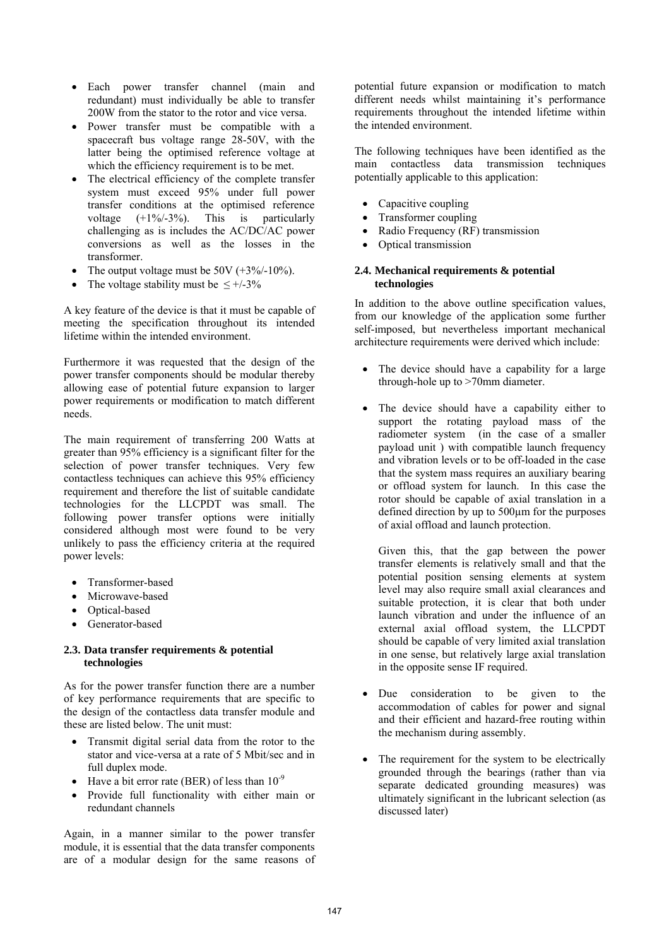- Each power transfer channel (main and redundant) must individually be able to transfer 200W from the stator to the rotor and vice versa.
- Power transfer must be compatible with a spacecraft bus voltage range 28-50V, with the latter being the optimised reference voltage at which the efficiency requirement is to be met.
- The electrical efficiency of the complete transfer system must exceed 95% under full power transfer conditions at the optimised reference voltage (+1%/-3%). This is particularly challenging as is includes the AC/DC/AC power conversions as well as the losses in the transformer.
- The output voltage must be 50V  $(+3\%/10\%)$ .
- The voltage stability must be  $\leq +1.3\%$

A key feature of the device is that it must be capable of meeting the specification throughout its intended lifetime within the intended environment.

Furthermore it was requested that the design of the power transfer components should be modular thereby allowing ease of potential future expansion to larger power requirements or modification to match different needs.

The main requirement of transferring 200 Watts at greater than 95% efficiency is a significant filter for the selection of power transfer techniques. Very few contactless techniques can achieve this 95% efficiency requirement and therefore the list of suitable candidate technologies for the LLCPDT was small. The following power transfer options were initially considered although most were found to be very unlikely to pass the efficiency criteria at the required power levels:

- Transformer-based
- Microwave-based
- Optical-based
- Generator-based

### **2.3. Data transfer requirements & potential technologies**

As for the power transfer function there are a number of key performance requirements that are specific to the design of the contactless data transfer module and these are listed below. The unit must:

- Transmit digital serial data from the rotor to the stator and vice-versa at a rate of 5 Mbit/sec and in full duplex mode.
- Have a bit error rate (BER) of less than  $10^{-9}$
- Provide full functionality with either main or redundant channels

Again, in a manner similar to the power transfer module, it is essential that the data transfer components are of a modular design for the same reasons of potential future expansion or modification to match different needs whilst maintaining it's performance requirements throughout the intended lifetime within the intended environment.

The following techniques have been identified as the main contactless data transmission techniques potentially applicable to this application:

- Capacitive coupling
- Transformer coupling
- Radio Frequency (RF) transmission
- Optical transmission

#### **2.4. Mechanical requirements & potential technologies**

In addition to the above outline specification values. from our knowledge of the application some further self-imposed, but nevertheless important mechanical architecture requirements were derived which include:

- The device should have a capability for a large through-hole up to >70mm diameter.
- The device should have a capability either to support the rotating payload mass of the radiometer system (in the case of a smaller payload unit ) with compatible launch frequency and vibration levels or to be off-loaded in the case that the system mass requires an auxiliary bearing or offload system for launch. In this case the rotor should be capable of axial translation in a defined direction by up to 500µm for the purposes of axial offload and launch protection.

Given this, that the gap between the power transfer elements is relatively small and that the potential position sensing elements at system level may also require small axial clearances and suitable protection, it is clear that both under launch vibration and under the influence of an external axial offload system, the LLCPDT should be capable of very limited axial translation in one sense, but relatively large axial translation in the opposite sense IF required.

- Due consideration to be given to the accommodation of cables for power and signal and their efficient and hazard-free routing within the mechanism during assembly.
- The requirement for the system to be electrically grounded through the bearings (rather than via separate dedicated grounding measures) was ultimately significant in the lubricant selection (as discussed later)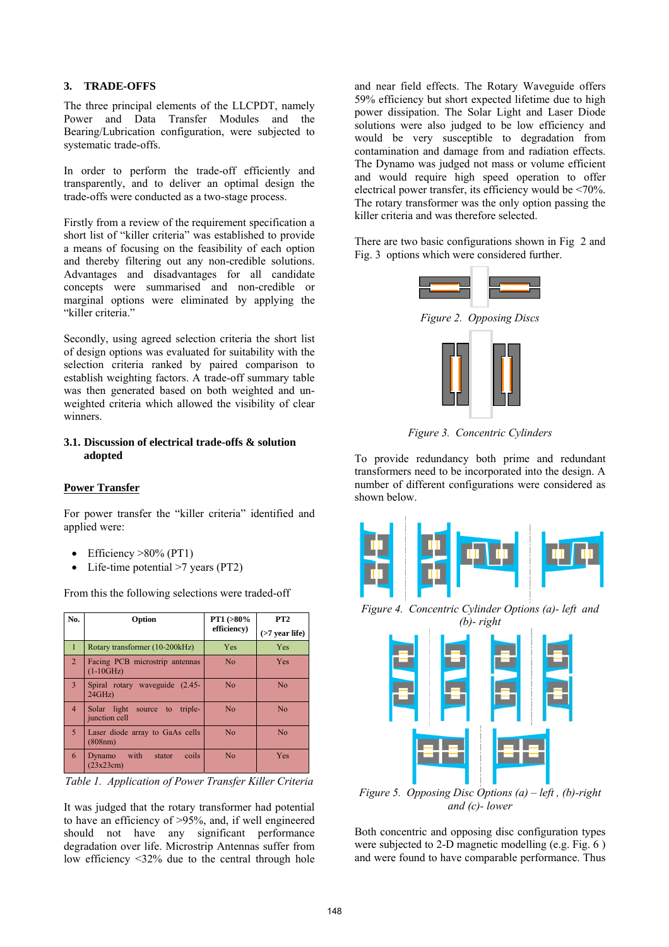#### **3. TRADE-OFFS**

The three principal elements of the LLCPDT, namely Power and Data Transfer Modules and the Bearing/Lubrication configuration, were subjected to systematic trade-offs.

In order to perform the trade-off efficiently and transparently, and to deliver an optimal design the trade-offs were conducted as a two-stage process.

Firstly from a review of the requirement specification a short list of "killer criteria" was established to provide a means of focusing on the feasibility of each option and thereby filtering out any non-credible solutions. Advantages and disadvantages for all candidate concepts were summarised and non-credible or marginal options were eliminated by applying the "killer criteria."

Secondly, using agreed selection criteria the short list of design options was evaluated for suitability with the selection criteria ranked by paired comparison to establish weighting factors. A trade-off summary table was then generated based on both weighted and unweighted criteria which allowed the visibility of clear winners.

### **3.1. Discussion of electrical trade-offs & solution adopted**

### **Power Transfer**

For power transfer the "killer criteria" identified and applied were:

- Efficiency >80% (PT1)
- Life-time potential  $>7$  years (PT2)

From this the following selections were traded-off

| No.            | Option                                            | $PT1 (> 80\%$<br>efficiency) | PT <sub>2</sub>      |
|----------------|---------------------------------------------------|------------------------------|----------------------|
|                |                                                   |                              | $($ >7 year life $)$ |
| 1              | Rotary transformer (10-200 kHz)                   | Yes                          | Yes                  |
| $\overline{2}$ | Facing PCB microstrip antennas<br>$(1-10GHz)$     | No                           | <b>Yes</b>           |
| 3              | Spiral rotary waveguide (2.45-<br>24GHz           | No                           | No                   |
| $\overline{4}$ | Solar light source to<br>triple-<br>junction cell | N <sub>0</sub>               | No                   |
| 5              | Laser diode array to GaAs cells<br>(808nm)        | N <sub>0</sub>               | N <sub>0</sub>       |
| 6              | Dynamo with<br>coils<br>stator<br>(23x23cm)       | N <sub>0</sub>               | Yes                  |

*Table 1. Application of Power Transfer Killer Criteria* 

It was judged that the rotary transformer had potential to have an efficiency of >95%, and, if well engineered should not have any significant performance degradation over life. Microstrip Antennas suffer from low efficiency <32% due to the central through hole and near field effects. The Rotary Waveguide offers 59% efficiency but short expected lifetime due to high power dissipation. The Solar Light and Laser Diode solutions were also judged to be low efficiency and would be very susceptible to degradation from contamination and damage from and radiation effects. The Dynamo was judged not mass or volume efficient and would require high speed operation to offer electrical power transfer, its efficiency would be <70%. The rotary transformer was the only option passing the killer criteria and was therefore selected.

There are two basic configurations shown in Fig 2 and Fig. 3 options which were considered further.



*Figure 3. Concentric Cylinders* 

To provide redundancy both prime and redundant transformers need to be incorporated into the design. A number of different configurations were considered as shown below.



*Figure 4. Concentric Cylinder Options (a)- left and (b)- right* 



*Figure 5. Opposing Disc Options (a) – left , (b)-right and (c)- lower* 

Both concentric and opposing disc configuration types were subjected to 2-D magnetic modelling (e.g. Fig. 6 ) and were found to have comparable performance. Thus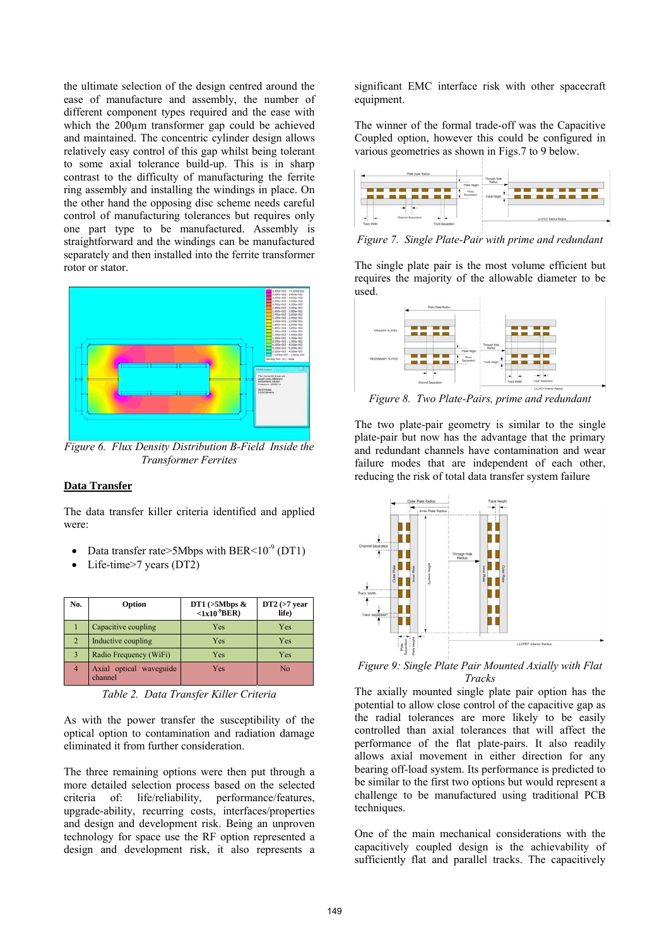the ultimate selection of the design centred around the ease of manufacture and assembly, the number of different component types required and the ease with which the 200µm transformer gap could be achieved and maintained. The concentric cylinder design allows relatively easy control of this gap whilst being tolerant to some axial tolerance build-up. This is in sharp contrast to the difficulty of manufacturing the ferrite ring assembly and installing the windings in place. On the other hand the opposing disc scheme needs careful control of manufacturing tolerances but requires only one part type to be manufactured. Assembly is straightforward and the windings can be manufactured separately and then installed into the ferrite transformer rotor or stator.



*Figure 6. Flux Density Distribution B-Field Inside the Transformer Ferrites* 

### **Data Transfer**

The data transfer killer criteria identified and applied were:

- Data transfer rate>5Mbps with BER<10<sup>-9</sup> (DT1)
- Life-time>7 years (DT2)

| No.            | Option                             | DT1 $(>5Mbps$ &<br>$<1x10^9$ BER) | $DT2 (>7$ year<br>life) |
|----------------|------------------------------------|-----------------------------------|-------------------------|
|                | Capacitive coupling                | Yes                               | Yes                     |
| $\overline{2}$ | Inductive coupling                 | <b>Yes</b>                        | Yes                     |
| 3              | Radio Frequency (WiFi)             | <b>Yes</b>                        | Yes                     |
|                | Axial optical waveguide<br>channel | Yes                               | No                      |

*Table 2. Data Transfer Killer Criteria* 

As with the power transfer the susceptibility of the optical option to contamination and radiation damage eliminated it from further consideration.

The three remaining options were then put through a more detailed selection process based on the selected criteria of: life/reliability, performance/features, upgrade-ability, recurring costs, interfaces/properties and design and development risk. Being an unproven technology for space use the RF option represented a design and development risk, it also represents a

significant EMC interface risk with other spacecraft equipment.

The winner of the formal trade-off was the Capacitive Coupled option, however this could be configured in various geometries as shown in Figs.7 to 9 below.



*Figure 7. Single Plate-Pair with prime and redundant*

The single plate pair is the most volume efficient but requires the majority of the allowable diameter to be used.



*Figure 8. Two Plate-Pairs, prime and redundant* 

The two plate-pair geometry is similar to the single plate-pair but now has the advantage that the primary and redundant channels have contamination and wear failure modes that are independent of each other, reducing the risk of total data transfer system failure



*Figure 9: Single Plate Pair Mounted Axially with Flat Tracks*

The axially mounted single plate pair option has the potential to allow close control of the capacitive gap as the radial tolerances are more likely to be easily controlled than axial tolerances that will affect the performance of the flat plate-pairs. It also readily allows axial movement in either direction for any bearing off-load system. Its performance is predicted to be similar to the first two options but would represent a challenge to be manufactured using traditional PCB techniques.

One of the main mechanical considerations with the capacitively coupled design is the achievability of sufficiently flat and parallel tracks. The capacitively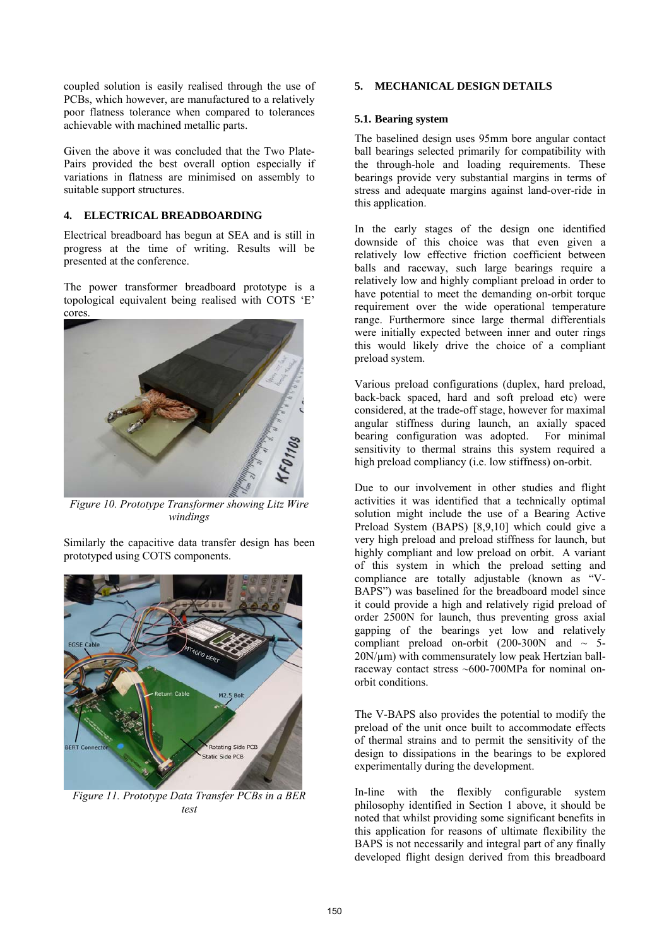coupled solution is easily realised through the use of PCBs, which however, are manufactured to a relatively poor flatness tolerance when compared to tolerances achievable with machined metallic parts.

Given the above it was concluded that the Two Plate-Pairs provided the best overall option especially if variations in flatness are minimised on assembly to suitable support structures.

## **4. ELECTRICAL BREADBOARDING**

Electrical breadboard has begun at SEA and is still in progress at the time of writing. Results will be presented at the conference.

The power transformer breadboard prototype is a topological equivalent being realised with COTS 'E' cores.



*Figure 10. Prototype Transformer showing Litz Wire windings* 

Similarly the capacitive data transfer design has been prototyped using COTS components.



*Figure 11. Prototype Data Transfer PCBs in a BER test* 

### **5. MECHANICAL DESIGN DETAILS**

#### **5.1. Bearing system**

The baselined design uses 95mm bore angular contact ball bearings selected primarily for compatibility with the through-hole and loading requirements. These bearings provide very substantial margins in terms of stress and adequate margins against land-over-ride in this application.

In the early stages of the design one identified downside of this choice was that even given a relatively low effective friction coefficient between balls and raceway, such large bearings require a relatively low and highly compliant preload in order to have potential to meet the demanding on-orbit torque requirement over the wide operational temperature range. Furthermore since large thermal differentials were initially expected between inner and outer rings this would likely drive the choice of a compliant preload system.

Various preload configurations (duplex, hard preload, back-back spaced, hard and soft preload etc) were considered, at the trade-off stage, however for maximal angular stiffness during launch, an axially spaced bearing configuration was adopted. For minimal sensitivity to thermal strains this system required a high preload compliancy (i.e. low stiffness) on-orbit.

Due to our involvement in other studies and flight activities it was identified that a technically optimal solution might include the use of a Bearing Active Preload System (BAPS) [8,9,10] which could give a very high preload and preload stiffness for launch, but highly compliant and low preload on orbit. A variant of this system in which the preload setting and compliance are totally adjustable (known as "V-BAPS") was baselined for the breadboard model since it could provide a high and relatively rigid preload of order 2500N for launch, thus preventing gross axial gapping of the bearings yet low and relatively compliant preload on-orbit (200-300N and  $\sim$  5- $20N/\mu$ m) with commensurately low peak Hertzian ballraceway contact stress ~600-700MPa for nominal onorbit conditions.

The V-BAPS also provides the potential to modify the preload of the unit once built to accommodate effects of thermal strains and to permit the sensitivity of the design to dissipations in the bearings to be explored experimentally during the development.

In-line with the flexibly configurable system philosophy identified in Section 1 above, it should be noted that whilst providing some significant benefits in this application for reasons of ultimate flexibility the BAPS is not necessarily and integral part of any finally developed flight design derived from this breadboard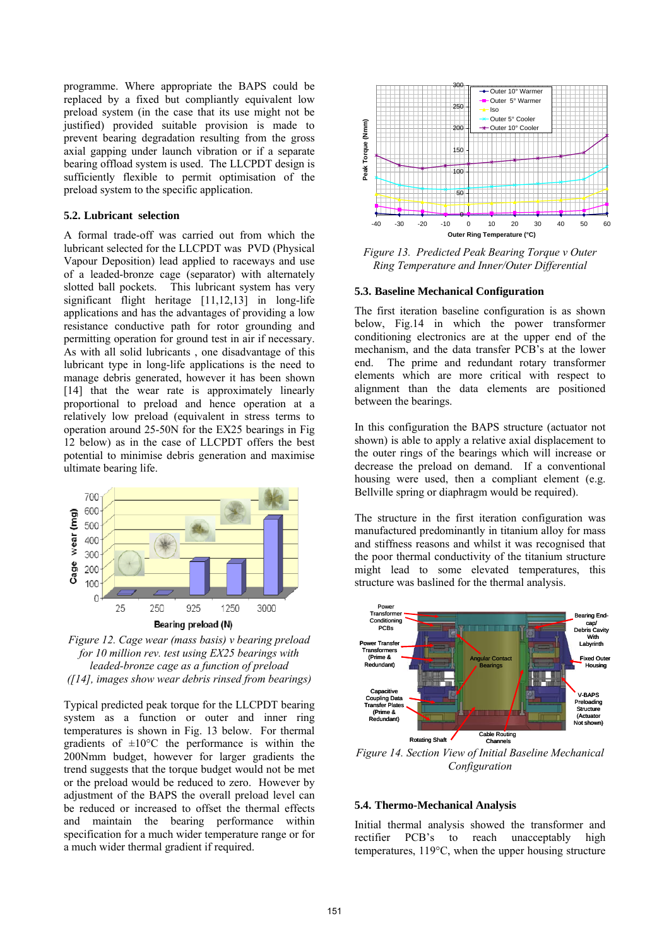programme. Where appropriate the BAPS could be replaced by a fixed but compliantly equivalent low preload system (in the case that its use might not be justified) provided suitable provision is made to prevent bearing degradation resulting from the gross axial gapping under launch vibration or if a separate bearing offload system is used. The LLCPDT design is sufficiently flexible to permit optimisation of the preload system to the specific application.

#### **5.2. Lubricant selection**

A formal trade-off was carried out from which the lubricant selected for the LLCPDT was PVD (Physical Vapour Deposition) lead applied to raceways and use of a leaded-bronze cage (separator) with alternately slotted ball pockets. This lubricant system has very significant flight heritage [11,12,13] in long-life applications and has the advantages of providing a low resistance conductive path for rotor grounding and permitting operation for ground test in air if necessary. As with all solid lubricants , one disadvantage of this lubricant type in long-life applications is the need to manage debris generated, however it has been shown [14] that the wear rate is approximately linearly proportional to preload and hence operation at a relatively low preload (equivalent in stress terms to operation around 25-50N for the EX25 bearings in Fig 12 below) as in the case of LLCPDT offers the best potential to minimise debris generation and maximise ultimate bearing life.



*Figure 12. Cage wear (mass basis) v bearing preload for 10 million rev. test using EX25 bearings with leaded-bronze cage as a function of preload ([14], images show wear debris rinsed from bearings)* 

Typical predicted peak torque for the LLCPDT bearing system as a function or outer and inner ring temperatures is shown in Fig. 13 below. For thermal gradients of  $\pm 10^{\circ}$ C the performance is within the 200Nmm budget, however for larger gradients the trend suggests that the torque budget would not be met or the preload would be reduced to zero. However by adjustment of the BAPS the overall preload level can be reduced or increased to offset the thermal effects and maintain the bearing performance within specification for a much wider temperature range or for a much wider thermal gradient if required.



*Figure 13. Predicted Peak Bearing Torque v Outer Ring Temperature and Inner/Outer Differential* 

#### **5.3. Baseline Mechanical Configuration**

The first iteration baseline configuration is as shown below, Fig.14 in which the power transformer conditioning electronics are at the upper end of the mechanism, and the data transfer PCB's at the lower end. The prime and redundant rotary transformer elements which are more critical with respect to alignment than the data elements are positioned between the bearings.

In this configuration the BAPS structure (actuator not shown) is able to apply a relative axial displacement to the outer rings of the bearings which will increase or decrease the preload on demand. If a conventional housing were used, then a compliant element (e.g. Bellville spring or diaphragm would be required).

The structure in the first iteration configuration was manufactured predominantly in titanium alloy for mass and stiffness reasons and whilst it was recognised that the poor thermal conductivity of the titanium structure might lead to some elevated temperatures, this structure was baslined for the thermal analysis.



*Figure 14. Section View of Initial Baseline Mechanical Configuration* 

## **5.4. Thermo-Mechanical Analysis**

Initial thermal analysis showed the transformer and rectifier PCB's to reach unacceptably high temperatures, 119°C, when the upper housing structure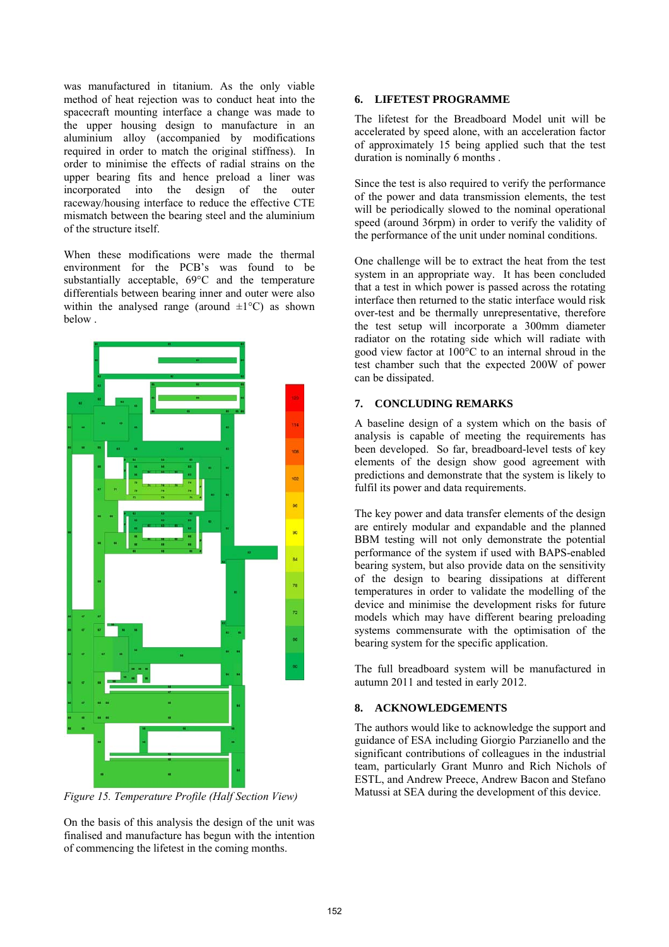was manufactured in titanium. As the only viable method of heat rejection was to conduct heat into the spacecraft mounting interface a change was made to the upper housing design to manufacture in an aluminium alloy (accompanied by modifications required in order to match the original stiffness). In order to minimise the effects of radial strains on the upper bearing fits and hence preload a liner was incorporated into the design of the outer raceway/housing interface to reduce the effective CTE mismatch between the bearing steel and the aluminium of the structure itself.

When these modifications were made the thermal environment for the PCB's was found to be substantially acceptable, 69°C and the temperature differentials between bearing inner and outer were also within the analysed range (around  $\pm 1^{\circ}$ C) as shown below .



*Figure 15. Temperature Profile (Half Section View)* 

On the basis of this analysis the design of the unit was finalised and manufacture has begun with the intention of commencing the lifetest in the coming months.

# **6. LIFETEST PROGRAMME**

The lifetest for the Breadboard Model unit will be accelerated by speed alone, with an acceleration factor of approximately 15 being applied such that the test duration is nominally 6 months .

Since the test is also required to verify the performance of the power and data transmission elements, the test will be periodically slowed to the nominal operational speed (around 36rpm) in order to verify the validity of the performance of the unit under nominal conditions.

One challenge will be to extract the heat from the test system in an appropriate way. It has been concluded that a test in which power is passed across the rotating interface then returned to the static interface would risk over-test and be thermally unrepresentative, therefore the test setup will incorporate a 300mm diameter radiator on the rotating side which will radiate with good view factor at 100°C to an internal shroud in the test chamber such that the expected 200W of power can be dissipated.

## **7. CONCLUDING REMARKS**

A baseline design of a system which on the basis of analysis is capable of meeting the requirements has been developed. So far, breadboard-level tests of key elements of the design show good agreement with predictions and demonstrate that the system is likely to fulfil its power and data requirements.

The key power and data transfer elements of the design are entirely modular and expandable and the planned BBM testing will not only demonstrate the potential performance of the system if used with BAPS-enabled bearing system, but also provide data on the sensitivity of the design to bearing dissipations at different temperatures in order to validate the modelling of the device and minimise the development risks for future models which may have different bearing preloading systems commensurate with the optimisation of the bearing system for the specific application.

The full breadboard system will be manufactured in autumn 2011 and tested in early 2012.

# **8. ACKNOWLEDGEMENTS**

The authors would like to acknowledge the support and guidance of ESA including Giorgio Parzianello and the significant contributions of colleagues in the industrial team, particularly Grant Munro and Rich Nichols of ESTL, and Andrew Preece, Andrew Bacon and Stefano Matussi at SEA during the development of this device.